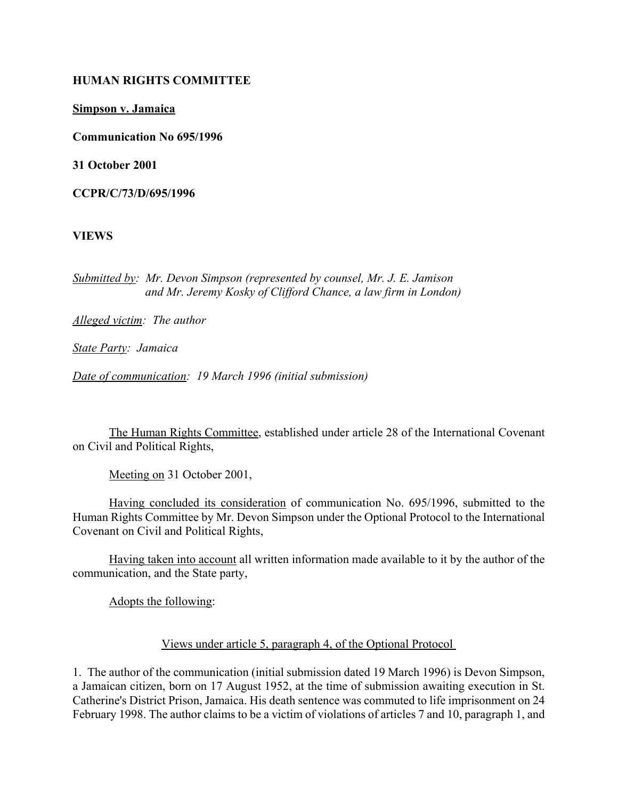#### **HUMAN RIGHTS COMMITTEE**

**Simpson v. Jamaica**

**Communication No 695/1996**

**31 October 2001**

**CCPR/C/73/D/695/1996** 

**VIEWS**

*Submitted by: Mr. Devon Simpson (represented by counsel, Mr. J. E. Jamison and Mr. Jeremy Kosky of Clifford Chance, a law firm in London)* 

*Alleged victim: The author* 

*State Party: Jamaica* 

*Date of communication: 19 March 1996 (initial submission)* 

The Human Rights Committee, established under article 28 of the International Covenant on Civil and Political Rights,

Meeting on 31 October 2001,

Having concluded its consideration of communication No. 695/1996, submitted to the Human Rights Committee by Mr. Devon Simpson under the Optional Protocol to the International Covenant on Civil and Political Rights,

Having taken into account all written information made available to it by the author of the communication, and the State party,

Adopts the following:

#### Views under article 5, paragraph 4, of the Optional Protocol

1. The author of the communication (initial submission dated 19 March 1996) is Devon Simpson, a Jamaican citizen, born on 17 August 1952, at the time of submission awaiting execution in St. Catherine's District Prison, Jamaica. His death sentence was commuted to life imprisonment on 24 February 1998. The author claims to be a victim of violations of articles 7 and 10, paragraph 1, and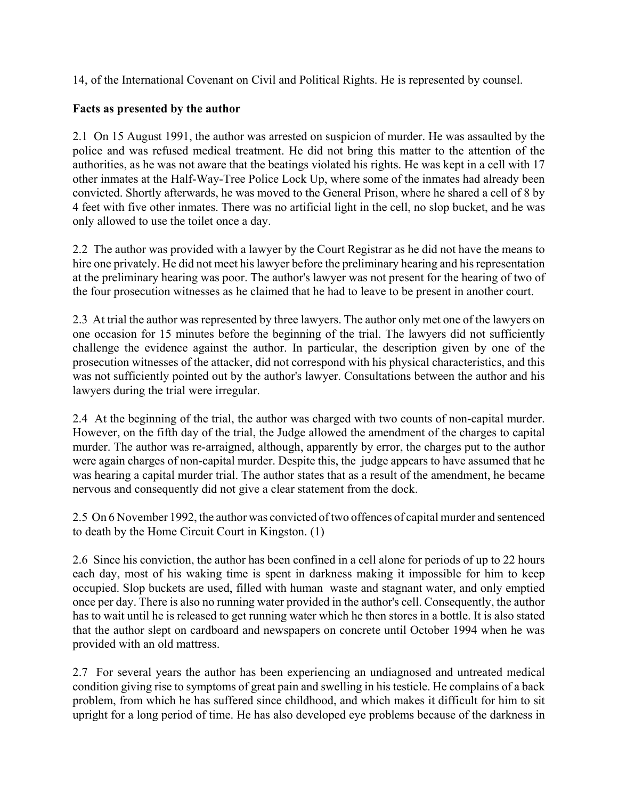14, of the International Covenant on Civil and Political Rights. He is represented by counsel.

### **Facts as presented by the author**

2.1 On 15 August 1991, the author was arrested on suspicion of murder. He was assaulted by the police and was refused medical treatment. He did not bring this matter to the attention of the authorities, as he was not aware that the beatings violated his rights. He was kept in a cell with 17 other inmates at the Half-Way-Tree Police Lock Up, where some of the inmates had already been convicted. Shortly afterwards, he was moved to the General Prison, where he shared a cell of 8 by 4 feet with five other inmates. There was no artificial light in the cell, no slop bucket, and he was only allowed to use the toilet once a day.

2.2 The author was provided with a lawyer by the Court Registrar as he did not have the means to hire one privately. He did not meet his lawyer before the preliminary hearing and his representation at the preliminary hearing was poor. The author's lawyer was not present for the hearing of two of the four prosecution witnesses as he claimed that he had to leave to be present in another court.

2.3 At trial the author was represented by three lawyers. The author only met one of the lawyers on one occasion for 15 minutes before the beginning of the trial. The lawyers did not sufficiently challenge the evidence against the author. In particular, the description given by one of the prosecution witnesses of the attacker, did not correspond with his physical characteristics, and this was not sufficiently pointed out by the author's lawyer. Consultations between the author and his lawyers during the trial were irregular.

2.4 At the beginning of the trial, the author was charged with two counts of non-capital murder. However, on the fifth day of the trial, the Judge allowed the amendment of the charges to capital murder. The author was re-arraigned, although, apparently by error, the charges put to the author were again charges of non-capital murder. Despite this, the judge appears to have assumed that he was hearing a capital murder trial. The author states that as a result of the amendment, he became nervous and consequently did not give a clear statement from the dock.

2.5 On 6 November 1992, the author was convicted of two offences of capital murder and sentenced to death by the Home Circuit Court in Kingston. (1)

2.6 Since his conviction, the author has been confined in a cell alone for periods of up to 22 hours each day, most of his waking time is spent in darkness making it impossible for him to keep occupied. Slop buckets are used, filled with human waste and stagnant water, and only emptied once per day. There is also no running water provided in the author's cell. Consequently, the author has to wait until he is released to get running water which he then stores in a bottle. It is also stated that the author slept on cardboard and newspapers on concrete until October 1994 when he was provided with an old mattress.

2.7 For several years the author has been experiencing an undiagnosed and untreated medical condition giving rise to symptoms of great pain and swelling in his testicle. He complains of a back problem, from which he has suffered since childhood, and which makes it difficult for him to sit upright for a long period of time. He has also developed eye problems because of the darkness in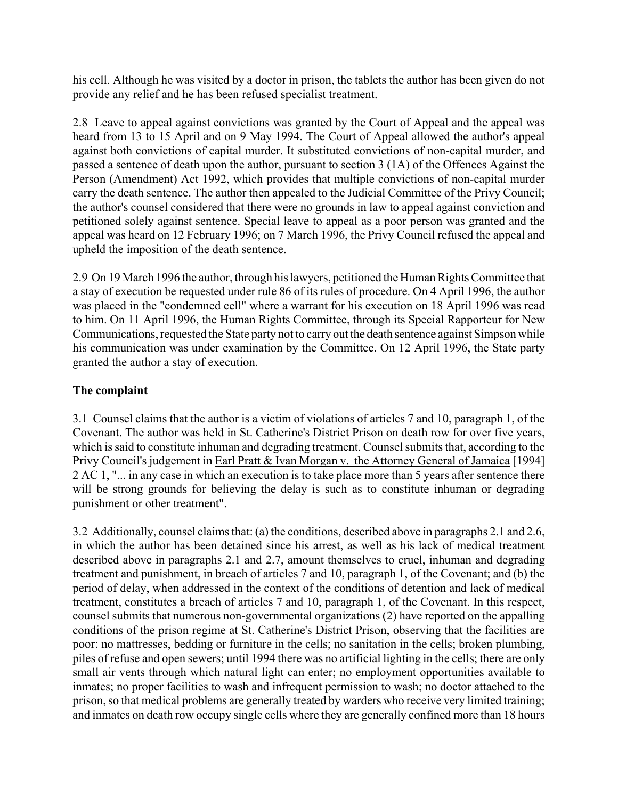his cell. Although he was visited by a doctor in prison, the tablets the author has been given do not provide any relief and he has been refused specialist treatment.

2.8 Leave to appeal against convictions was granted by the Court of Appeal and the appeal was heard from 13 to 15 April and on 9 May 1994. The Court of Appeal allowed the author's appeal against both convictions of capital murder. It substituted convictions of non-capital murder, and passed a sentence of death upon the author, pursuant to section 3 (1A) of the Offences Against the Person (Amendment) Act 1992, which provides that multiple convictions of non-capital murder carry the death sentence. The author then appealed to the Judicial Committee of the Privy Council; the author's counsel considered that there were no grounds in law to appeal against conviction and petitioned solely against sentence. Special leave to appeal as a poor person was granted and the appeal was heard on 12 February 1996; on 7 March 1996, the Privy Council refused the appeal and upheld the imposition of the death sentence.

2.9 On 19 March 1996 the author, through his lawyers, petitioned the Human Rights Committee that a stay of execution be requested under rule 86 of its rules of procedure. On 4 April 1996, the author was placed in the "condemned cell" where a warrant for his execution on 18 April 1996 was read to him. On 11 April 1996, the Human Rights Committee, through its Special Rapporteur for New Communications, requested the State party not to carry out the death sentence against Simpson while his communication was under examination by the Committee. On 12 April 1996, the State party granted the author a stay of execution.

## **The complaint**

3.1 Counsel claims that the author is a victim of violations of articles 7 and 10, paragraph 1, of the Covenant. The author was held in St. Catherine's District Prison on death row for over five years, which is said to constitute inhuman and degrading treatment. Counsel submits that, according to the Privy Council's judgement in Earl Pratt & Ivan Morgan v. the Attorney General of Jamaica [1994] 2 AC 1, "... in any case in which an execution is to take place more than 5 years after sentence there will be strong grounds for believing the delay is such as to constitute inhuman or degrading punishment or other treatment".

3.2 Additionally, counsel claims that: (a) the conditions, described above in paragraphs 2.1 and 2.6, in which the author has been detained since his arrest, as well as his lack of medical treatment described above in paragraphs 2.1 and 2.7, amount themselves to cruel, inhuman and degrading treatment and punishment, in breach of articles 7 and 10, paragraph 1, of the Covenant; and (b) the period of delay, when addressed in the context of the conditions of detention and lack of medical treatment, constitutes a breach of articles 7 and 10, paragraph 1, of the Covenant. In this respect, counsel submits that numerous non-governmental organizations (2) have reported on the appalling conditions of the prison regime at St. Catherine's District Prison, observing that the facilities are poor: no mattresses, bedding or furniture in the cells; no sanitation in the cells; broken plumbing, piles of refuse and open sewers; until 1994 there was no artificial lighting in the cells; there are only small air vents through which natural light can enter; no employment opportunities available to inmates; no proper facilities to wash and infrequent permission to wash; no doctor attached to the prison, so that medical problems are generally treated by warders who receive very limited training; and inmates on death row occupy single cells where they are generally confined more than 18 hours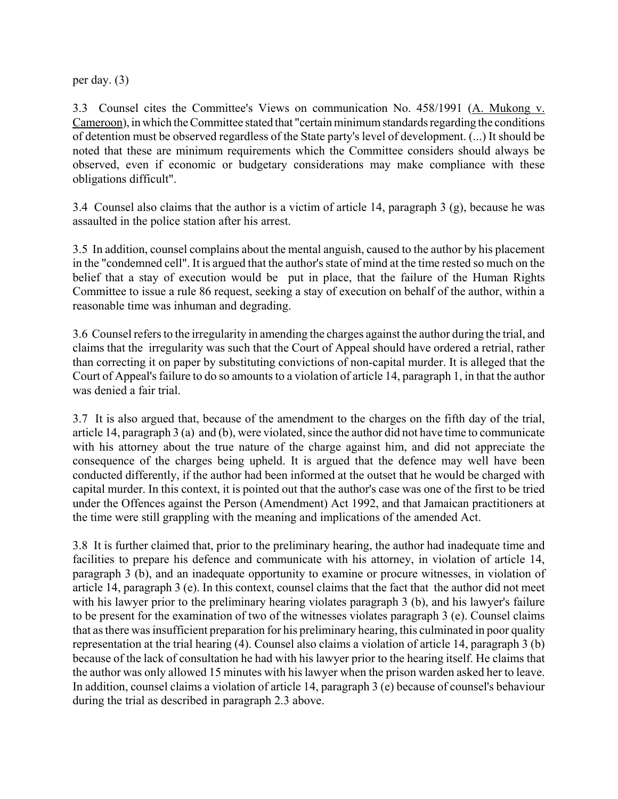per day. (3)

3.3 Counsel cites the Committee's Views on communication No. 458/1991 (A. Mukong v. Cameroon), in which the Committee stated that "certain minimum standards regarding the conditions of detention must be observed regardless of the State party's level of development. (...) It should be noted that these are minimum requirements which the Committee considers should always be observed, even if economic or budgetary considerations may make compliance with these obligations difficult".

3.4 Counsel also claims that the author is a victim of article 14, paragraph 3 (g), because he was assaulted in the police station after his arrest.

3.5 In addition, counsel complains about the mental anguish, caused to the author by his placement in the "condemned cell". It is argued that the author's state of mind at the time rested so much on the belief that a stay of execution would be put in place, that the failure of the Human Rights Committee to issue a rule 86 request, seeking a stay of execution on behalf of the author, within a reasonable time was inhuman and degrading.

3.6 Counsel refers to the irregularity in amending the charges against the author during the trial, and claims that the irregularity was such that the Court of Appeal should have ordered a retrial, rather than correcting it on paper by substituting convictions of non-capital murder. It is alleged that the Court of Appeal's failure to do so amounts to a violation of article 14, paragraph 1, in that the author was denied a fair trial.

3.7 It is also argued that, because of the amendment to the charges on the fifth day of the trial, article 14, paragraph 3 (a) and (b), were violated, since the author did not have time to communicate with his attorney about the true nature of the charge against him, and did not appreciate the consequence of the charges being upheld. It is argued that the defence may well have been conducted differently, if the author had been informed at the outset that he would be charged with capital murder. In this context, it is pointed out that the author's case was one of the first to be tried under the Offences against the Person (Amendment) Act 1992, and that Jamaican practitioners at the time were still grappling with the meaning and implications of the amended Act.

3.8 It is further claimed that, prior to the preliminary hearing, the author had inadequate time and facilities to prepare his defence and communicate with his attorney, in violation of article 14, paragraph 3 (b), and an inadequate opportunity to examine or procure witnesses, in violation of article 14, paragraph 3 (e). In this context, counsel claims that the fact that the author did not meet with his lawyer prior to the preliminary hearing violates paragraph 3 (b), and his lawyer's failure to be present for the examination of two of the witnesses violates paragraph 3 (e). Counsel claims that as there was insufficient preparation for his preliminary hearing, this culminated in poor quality representation at the trial hearing (4). Counsel also claims a violation of article 14, paragraph 3 (b) because of the lack of consultation he had with his lawyer prior to the hearing itself. He claims that the author was only allowed 15 minutes with his lawyer when the prison warden asked her to leave. In addition, counsel claims a violation of article 14, paragraph 3 (e) because of counsel's behaviour during the trial as described in paragraph 2.3 above.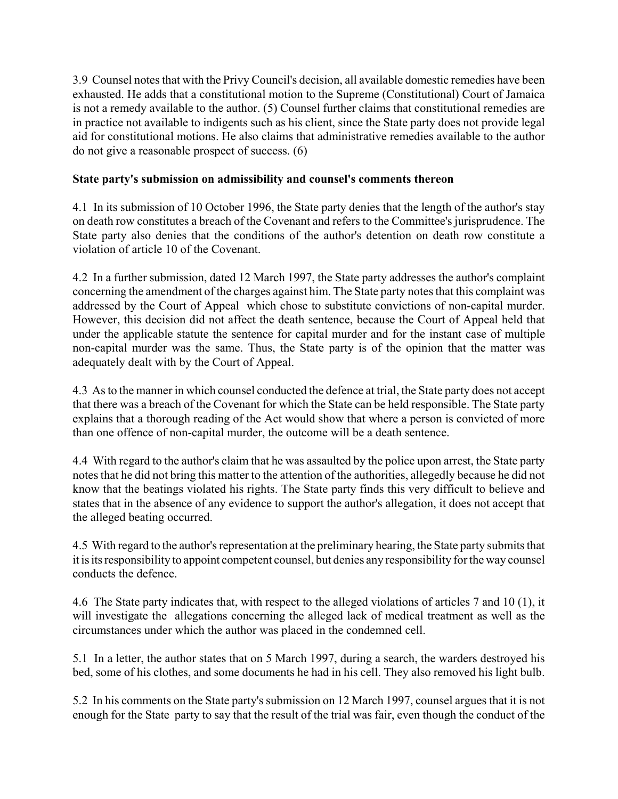3.9 Counsel notes that with the Privy Council's decision, all available domestic remedies have been exhausted. He adds that a constitutional motion to the Supreme (Constitutional) Court of Jamaica is not a remedy available to the author. (5) Counsel further claims that constitutional remedies are in practice not available to indigents such as his client, since the State party does not provide legal aid for constitutional motions. He also claims that administrative remedies available to the author do not give a reasonable prospect of success. (6)

### **State party's submission on admissibility and counsel's comments thereon**

4.1 In its submission of 10 October 1996, the State party denies that the length of the author's stay on death row constitutes a breach of the Covenant and refers to the Committee's jurisprudence. The State party also denies that the conditions of the author's detention on death row constitute a violation of article 10 of the Covenant.

4.2 In a further submission, dated 12 March 1997, the State party addresses the author's complaint concerning the amendment of the charges against him. The State party notes that this complaint was addressed by the Court of Appeal which chose to substitute convictions of non-capital murder. However, this decision did not affect the death sentence, because the Court of Appeal held that under the applicable statute the sentence for capital murder and for the instant case of multiple non-capital murder was the same. Thus, the State party is of the opinion that the matter was adequately dealt with by the Court of Appeal.

4.3 As to the manner in which counsel conducted the defence at trial, the State party does not accept that there was a breach of the Covenant for which the State can be held responsible. The State party explains that a thorough reading of the Act would show that where a person is convicted of more than one offence of non-capital murder, the outcome will be a death sentence.

4.4 With regard to the author's claim that he was assaulted by the police upon arrest, the State party notes that he did not bring this matter to the attention of the authorities, allegedly because he did not know that the beatings violated his rights. The State party finds this very difficult to believe and states that in the absence of any evidence to support the author's allegation, it does not accept that the alleged beating occurred.

4.5 With regard to the author's representation at the preliminary hearing, the State party submits that it is its responsibility to appoint competent counsel, but denies any responsibility for the way counsel conducts the defence.

4.6 The State party indicates that, with respect to the alleged violations of articles 7 and 10 (1), it will investigate the allegations concerning the alleged lack of medical treatment as well as the circumstances under which the author was placed in the condemned cell.

5.1 In a letter, the author states that on 5 March 1997, during a search, the warders destroyed his bed, some of his clothes, and some documents he had in his cell. They also removed his light bulb.

5.2 In his comments on the State party's submission on 12 March 1997, counsel argues that it is not enough for the State party to say that the result of the trial was fair, even though the conduct of the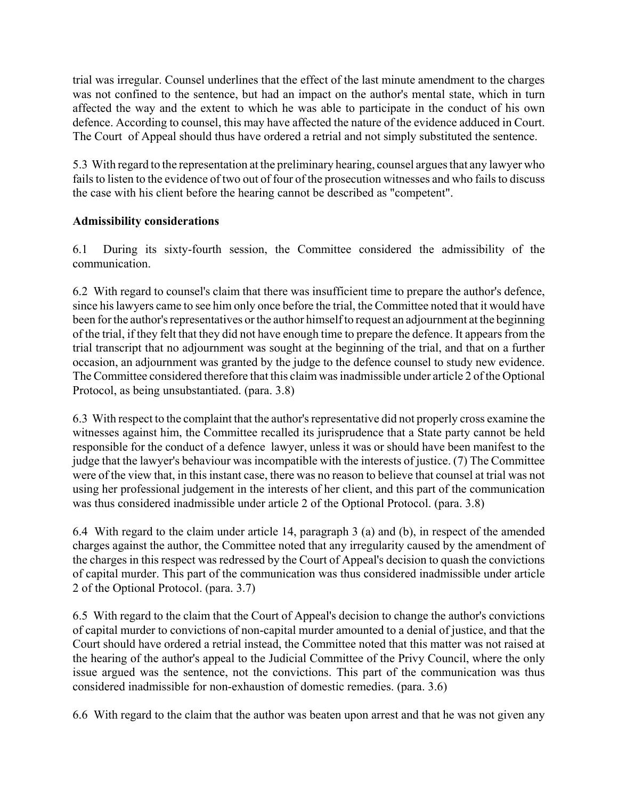trial was irregular. Counsel underlines that the effect of the last minute amendment to the charges was not confined to the sentence, but had an impact on the author's mental state, which in turn affected the way and the extent to which he was able to participate in the conduct of his own defence. According to counsel, this may have affected the nature of the evidence adduced in Court. The Court of Appeal should thus have ordered a retrial and not simply substituted the sentence.

5.3 With regard to the representation at the preliminary hearing, counsel argues that any lawyer who fails to listen to the evidence of two out of four of the prosecution witnesses and who fails to discuss the case with his client before the hearing cannot be described as "competent".

## **Admissibility considerations**

6.1 During its sixty-fourth session, the Committee considered the admissibility of the communication.

6.2 With regard to counsel's claim that there was insufficient time to prepare the author's defence, since his lawyers came to see him only once before the trial, the Committee noted that it would have been for the author's representatives or the author himself to request an adjournment at the beginning of the trial, if they felt that they did not have enough time to prepare the defence. It appears from the trial transcript that no adjournment was sought at the beginning of the trial, and that on a further occasion, an adjournment was granted by the judge to the defence counsel to study new evidence. The Committee considered therefore that this claim was inadmissible under article 2 of the Optional Protocol, as being unsubstantiated. (para. 3.8)

6.3 With respect to the complaint that the author's representative did not properly cross examine the witnesses against him, the Committee recalled its jurisprudence that a State party cannot be held responsible for the conduct of a defence lawyer, unless it was or should have been manifest to the judge that the lawyer's behaviour was incompatible with the interests of justice. (7) The Committee were of the view that, in this instant case, there was no reason to believe that counsel at trial was not using her professional judgement in the interests of her client, and this part of the communication was thus considered inadmissible under article 2 of the Optional Protocol. (para. 3.8)

6.4 With regard to the claim under article 14, paragraph 3 (a) and (b), in respect of the amended charges against the author, the Committee noted that any irregularity caused by the amendment of the charges in this respect was redressed by the Court of Appeal's decision to quash the convictions of capital murder. This part of the communication was thus considered inadmissible under article 2 of the Optional Protocol. (para. 3.7)

6.5 With regard to the claim that the Court of Appeal's decision to change the author's convictions of capital murder to convictions of non-capital murder amounted to a denial of justice, and that the Court should have ordered a retrial instead, the Committee noted that this matter was not raised at the hearing of the author's appeal to the Judicial Committee of the Privy Council, where the only issue argued was the sentence, not the convictions. This part of the communication was thus considered inadmissible for non-exhaustion of domestic remedies. (para. 3.6)

6.6 With regard to the claim that the author was beaten upon arrest and that he was not given any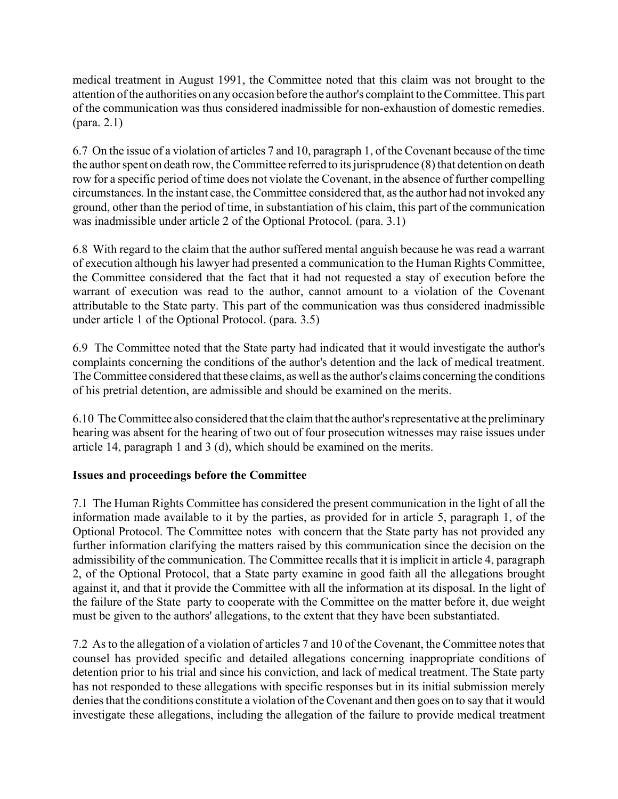medical treatment in August 1991, the Committee noted that this claim was not brought to the attention of the authorities on any occasion before the author's complaint to the Committee. This part of the communication was thus considered inadmissible for non-exhaustion of domestic remedies. (para. 2.1)

6.7 On the issue of a violation of articles 7 and 10, paragraph 1, of the Covenant because of the time the author spent on death row, the Committee referred to its jurisprudence (8) that detention on death row for a specific period of time does not violate the Covenant, in the absence of further compelling circumstances. In the instant case, the Committee considered that, as the author had not invoked any ground, other than the period of time, in substantiation of his claim, this part of the communication was inadmissible under article 2 of the Optional Protocol. (para. 3.1)

6.8 With regard to the claim that the author suffered mental anguish because he was read a warrant of execution although his lawyer had presented a communication to the Human Rights Committee, the Committee considered that the fact that it had not requested a stay of execution before the warrant of execution was read to the author, cannot amount to a violation of the Covenant attributable to the State party. This part of the communication was thus considered inadmissible under article 1 of the Optional Protocol. (para. 3.5)

6.9 The Committee noted that the State party had indicated that it would investigate the author's complaints concerning the conditions of the author's detention and the lack of medical treatment. The Committee considered that these claims, as well as the author's claims concerning the conditions of his pretrial detention, are admissible and should be examined on the merits.

6.10 The Committee also considered that the claim that the author's representative at the preliminary hearing was absent for the hearing of two out of four prosecution witnesses may raise issues under article 14, paragraph 1 and 3 (d), which should be examined on the merits.

# **Issues and proceedings before the Committee**

7.1 The Human Rights Committee has considered the present communication in the light of all the information made available to it by the parties, as provided for in article 5, paragraph 1, of the Optional Protocol. The Committee notes with concern that the State party has not provided any further information clarifying the matters raised by this communication since the decision on the admissibility of the communication. The Committee recalls that it is implicit in article 4, paragraph 2, of the Optional Protocol, that a State party examine in good faith all the allegations brought against it, and that it provide the Committee with all the information at its disposal. In the light of the failure of the State party to cooperate with the Committee on the matter before it, due weight must be given to the authors' allegations, to the extent that they have been substantiated.

7.2 As to the allegation of a violation of articles 7 and 10 of the Covenant, the Committee notes that counsel has provided specific and detailed allegations concerning inappropriate conditions of detention prior to his trial and since his conviction, and lack of medical treatment. The State party has not responded to these allegations with specific responses but in its initial submission merely denies that the conditions constitute a violation of the Covenant and then goes on to say that it would investigate these allegations, including the allegation of the failure to provide medical treatment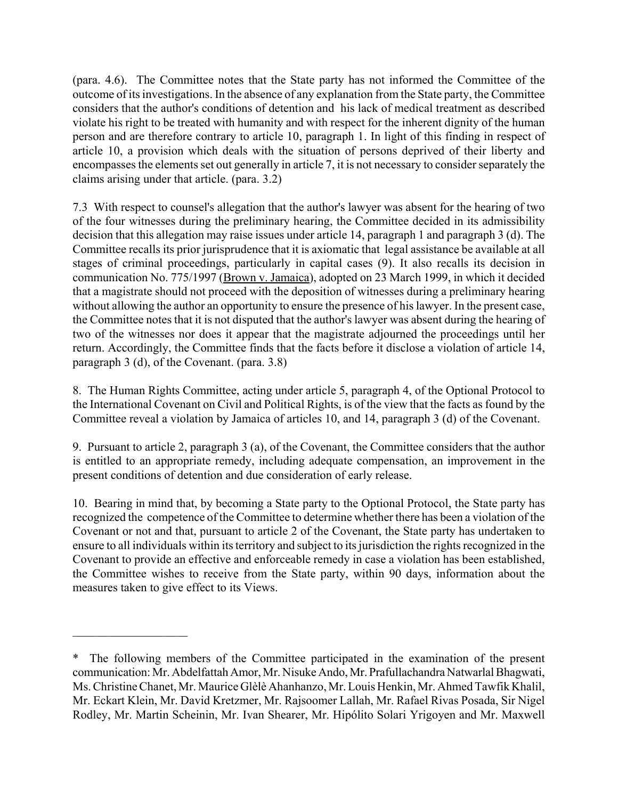(para. 4.6). The Committee notes that the State party has not informed the Committee of the outcome of its investigations. In the absence of any explanation from the State party, the Committee considers that the author's conditions of detention and his lack of medical treatment as described violate his right to be treated with humanity and with respect for the inherent dignity of the human person and are therefore contrary to article 10, paragraph 1. In light of this finding in respect of article 10, a provision which deals with the situation of persons deprived of their liberty and encompasses the elements set out generally in article 7, it is not necessary to consider separately the claims arising under that article. (para. 3.2)

7.3 With respect to counsel's allegation that the author's lawyer was absent for the hearing of two of the four witnesses during the preliminary hearing, the Committee decided in its admissibility decision that this allegation may raise issues under article 14, paragraph 1 and paragraph 3 (d). The Committee recalls its prior jurisprudence that it is axiomatic that legal assistance be available at all stages of criminal proceedings, particularly in capital cases (9). It also recalls its decision in communication No. 775/1997 (Brown v. Jamaica), adopted on 23 March 1999, in which it decided that a magistrate should not proceed with the deposition of witnesses during a preliminary hearing without allowing the author an opportunity to ensure the presence of his lawyer. In the present case, the Committee notes that it is not disputed that the author's lawyer was absent during the hearing of two of the witnesses nor does it appear that the magistrate adjourned the proceedings until her return. Accordingly, the Committee finds that the facts before it disclose a violation of article 14, paragraph 3 (d), of the Covenant. (para. 3.8)

8. The Human Rights Committee, acting under article 5, paragraph 4, of the Optional Protocol to the International Covenant on Civil and Political Rights, is of the view that the facts as found by the Committee reveal a violation by Jamaica of articles 10, and 14, paragraph 3 (d) of the Covenant.

9. Pursuant to article 2, paragraph 3 (a), of the Covenant, the Committee considers that the author is entitled to an appropriate remedy, including adequate compensation, an improvement in the present conditions of detention and due consideration of early release.

10. Bearing in mind that, by becoming a State party to the Optional Protocol, the State party has recognized the competence of the Committee to determine whether there has been a violation of the Covenant or not and that, pursuant to article 2 of the Covenant, the State party has undertaken to ensure to all individuals within its territory and subject to its jurisdiction the rights recognized in the Covenant to provide an effective and enforceable remedy in case a violation has been established, the Committee wishes to receive from the State party, within 90 days, information about the measures taken to give effect to its Views.

 $\mathcal{L}_\text{max}$  , where  $\mathcal{L}_\text{max}$ 

<sup>\*</sup> The following members of the Committee participated in the examination of the present communication: Mr. Abdelfattah Amor, Mr. Nisuke Ando, Mr. Prafullachandra Natwarlal Bhagwati, Ms. Christine Chanet, Mr. Maurice Glèlè Ahanhanzo, Mr. Louis Henkin, Mr. Ahmed Tawfik Khalil, Mr. Eckart Klein, Mr. David Kretzmer, Mr. Rajsoomer Lallah, Mr. Rafael Rivas Posada, Sir Nigel Rodley, Mr. Martin Scheinin, Mr. Ivan Shearer, Mr. Hipólito Solari Yrigoyen and Mr. Maxwell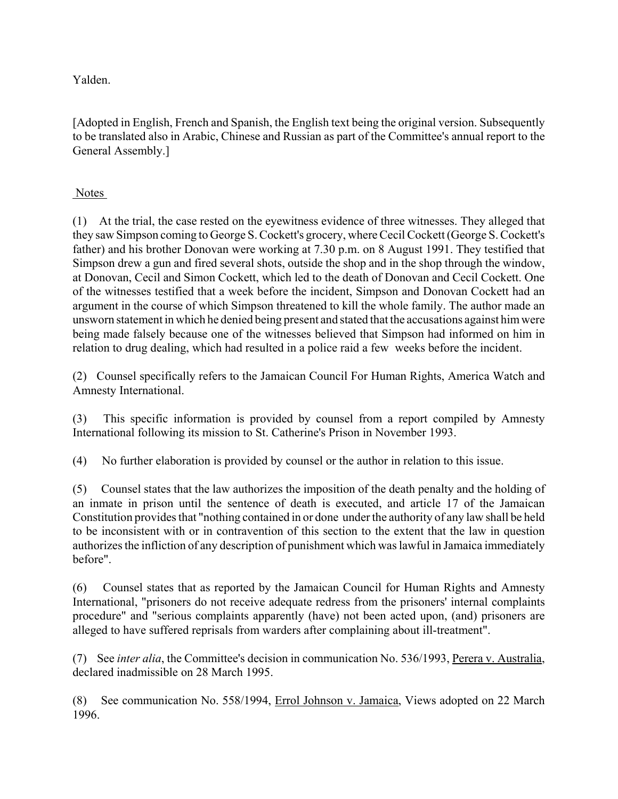Yalden.

[Adopted in English, French and Spanish, the English text being the original version. Subsequently to be translated also in Arabic, Chinese and Russian as part of the Committee's annual report to the General Assembly.]

# Notes

(1) At the trial, the case rested on the eyewitness evidence of three witnesses. They alleged that they saw Simpson coming to George S. Cockett's grocery, where Cecil Cockett (George S. Cockett's father) and his brother Donovan were working at 7.30 p.m. on 8 August 1991. They testified that Simpson drew a gun and fired several shots, outside the shop and in the shop through the window, at Donovan, Cecil and Simon Cockett, which led to the death of Donovan and Cecil Cockett. One of the witnesses testified that a week before the incident, Simpson and Donovan Cockett had an argument in the course of which Simpson threatened to kill the whole family. The author made an unsworn statement in which he denied being present and stated that the accusations against him were being made falsely because one of the witnesses believed that Simpson had informed on him in relation to drug dealing, which had resulted in a police raid a few weeks before the incident.

(2) Counsel specifically refers to the Jamaican Council For Human Rights, America Watch and Amnesty International.

(3) This specific information is provided by counsel from a report compiled by Amnesty International following its mission to St. Catherine's Prison in November 1993.

(4) No further elaboration is provided by counsel or the author in relation to this issue.

(5) Counsel states that the law authorizes the imposition of the death penalty and the holding of an inmate in prison until the sentence of death is executed, and article 17 of the Jamaican Constitution provides that "nothing contained in or done under the authority of any law shall be held to be inconsistent with or in contravention of this section to the extent that the law in question authorizes the infliction of any description of punishment which was lawful in Jamaica immediately before".

(6) Counsel states that as reported by the Jamaican Council for Human Rights and Amnesty International, "prisoners do not receive adequate redress from the prisoners' internal complaints procedure" and "serious complaints apparently (have) not been acted upon, (and) prisoners are alleged to have suffered reprisals from warders after complaining about ill-treatment".

(7) See *inter alia*, the Committee's decision in communication No. 536/1993, Perera v. Australia, declared inadmissible on 28 March 1995.

(8) See communication No. 558/1994, Errol Johnson v. Jamaica, Views adopted on 22 March 1996.